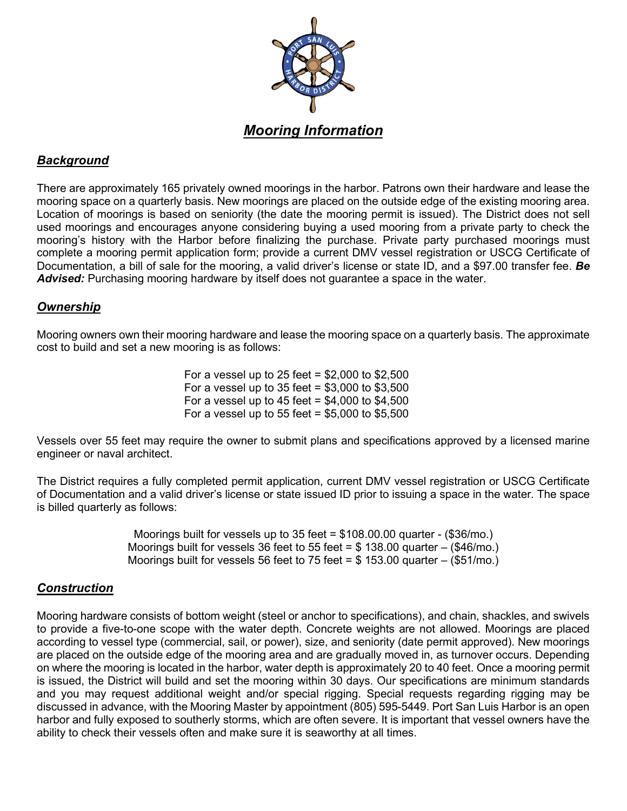

# *Background*

There are approximately 165 privately owned moorings in the harbor. Patrons own their hardware and lease the mooring space on a quarterly basis. New moorings are placed on the outside edge of the existing mooring area. Location of moorings is based on seniority (the date the mooring permit is issued). The District does not sell used moorings and encourages anyone considering buying a used mooring from a private party to check the mooring's history with the Harbor before finalizing the purchase. Private party purchased moorings must complete a mooring permit application form; provide a current DMV vessel registration or USCG Certificate of Documentation, a bill of sale for the mooring, a valid driver's license or state ID, and a \$97.00 transfer fee. *Be Advised:* Purchasing mooring hardware by itself does not guarantee a space in the water.

### *Ownership*

Mooring owners own their mooring hardware and lease the mooring space on a quarterly basis. The approximate cost to build and set a new mooring is as follows:

> For a vessel up to 25 feet =  $$2,000$  to  $$2,500$ For a vessel up to  $35$  feet =  $$3,000$  to  $$3,500$ For a vessel up to 45 feet =  $$4,000$  to  $$4,500$ For a vessel up to 55 feet =  $$5,000$  to  $$5,500$

Vessels over 55 feet may require the owner to submit plans and specifications approved by a licensed marine engineer or naval architect.

The District requires a fully completed permit application, current DMV vessel registration or USCG Certificate of Documentation and a valid driver's license or state issued ID prior to issuing a space in the water. The space is billed quarterly as follows:

> Moorings built for vessels up to 35 feet = \$108.00.00 quarter - (\$36/mo.) Moorings built for vessels 36 feet to 55 feet =  $$138.00$  quarter – (\$46/mo.) Moorings built for vessels 56 feet to 75 feet =  $$153.00$  quarter – (\$51/mo.)

### *Construction*

Mooring hardware consists of bottom weight (steel or anchor to specifications), and chain, shackles, and swivels to provide a five-to-one scope with the water depth. Concrete weights are not allowed. Moorings are placed according to vessel type (commercial, sail, or power), size, and seniority (date permit approved). New moorings are placed on the outside edge of the mooring area and are gradually moved in, as turnover occurs. Depending on where the mooring is located in the harbor, water depth is approximately 20 to 40 feet. Once a mooring permit is issued, the District will build and set the mooring within 30 days. Our specifications are minimum standards and you may request additional weight and/or special rigging. Special requests regarding rigging may be discussed in advance, with the Mooring Master by appointment (805) 595-5449. Port San Luis Harbor is an open harbor and fully exposed to southerly storms, which are often severe. It is important that vessel owners have the ability to check their vessels often and make sure it is seaworthy at all times.